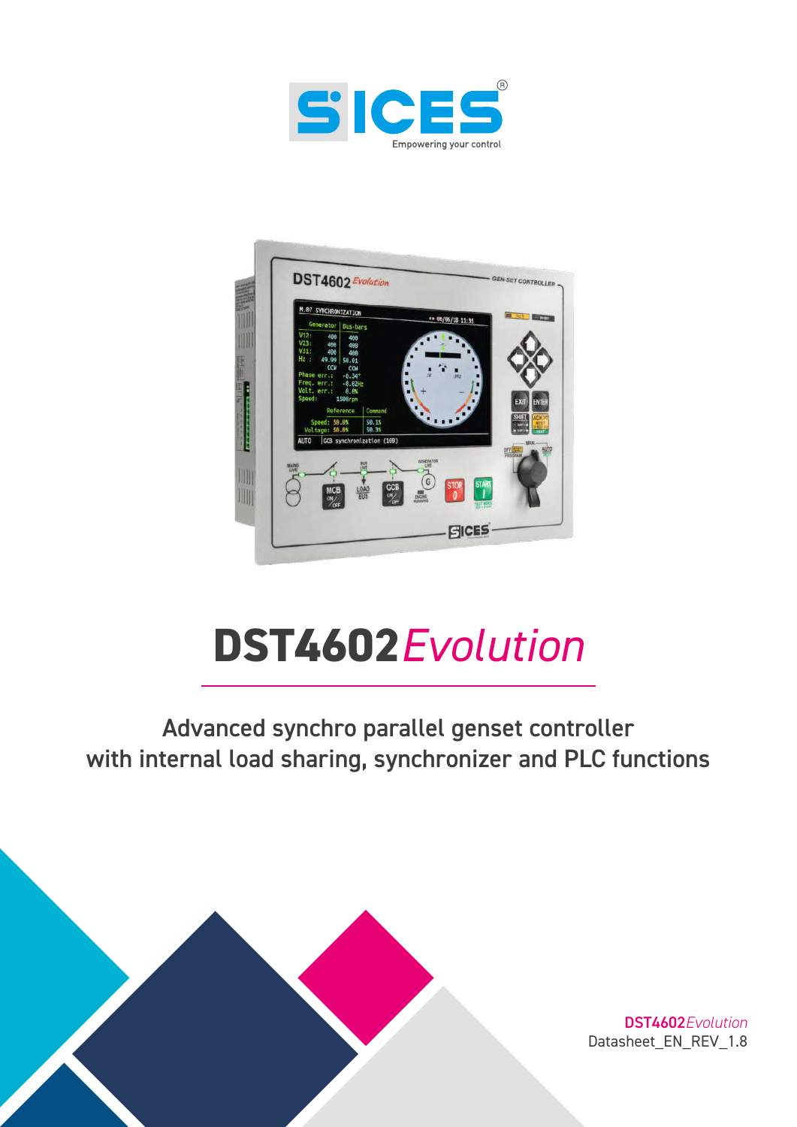



# **DST4602***Evolution*

# Advanced synchro parallel genset controller with internal load sharing, synchronizer and PLC functions



DST4602*Evolution* Datasheet\_EN\_REV\_1.8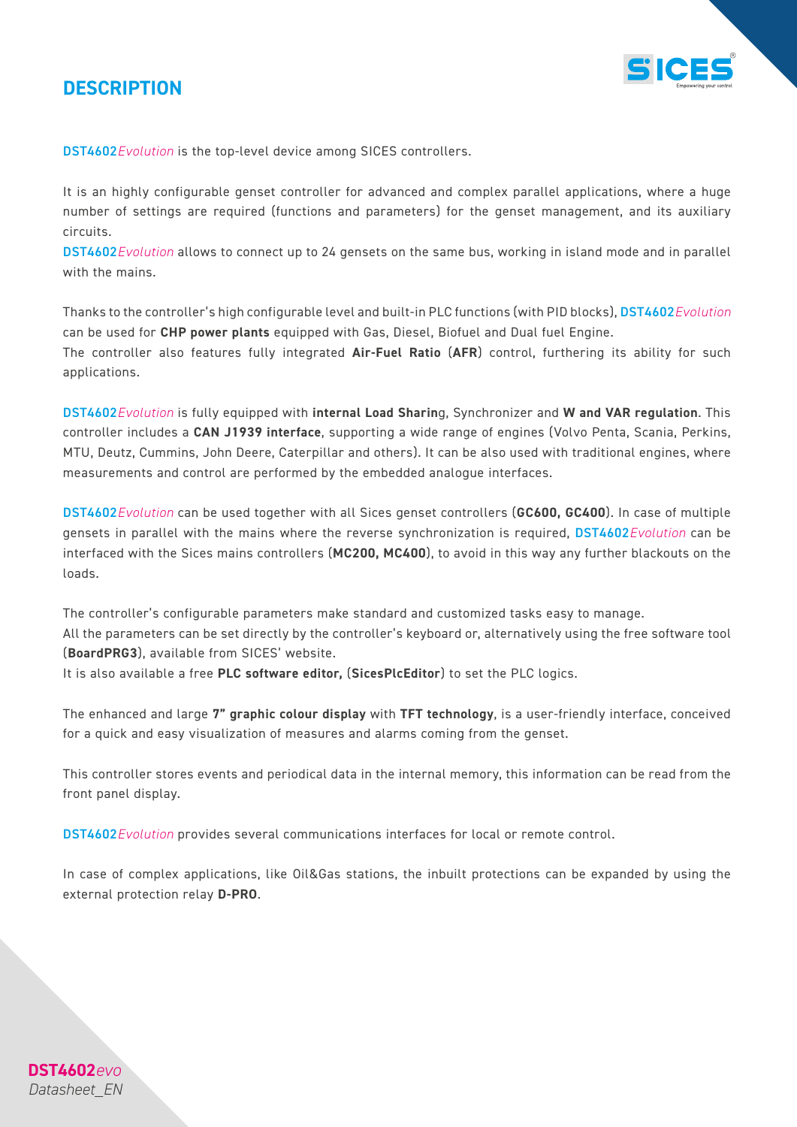### *DESCRIPTION*

**DST4602***evo Datasheet\_EN*



DST4602*Evolution* is the top-level device among SICES controllers.

It is an highly configurable genset controller for advanced and complex parallel applications, where a huge number of settings are required (functions and parameters) for the genset management, and its auxiliary circuits.

DST4602*Evolution* allows to connect up to 24 gensets on the same bus, working in island mode and in parallel with the mains.

Thanks to the controller's high configurable level and built-in PLC functions (with PID blocks), DST4602*Evolution* can be used for *CHP power plants* equipped with Gas, Diesel, Biofuel and Dual fuel Engine.

The controller also features fully integrated *Air-Fuel Ratio* (*AFR*) control, furthering its ability for such applications.

DST4602*Evolution* is fully equipped with *internal Load Sharin*g, Synchronizer and *W and VAR regulation*. This controller includes a *CAN J1939 interface*, supporting a wide range of engines (Volvo Penta, Scania, Perkins, MTU, Deutz, Cummins, John Deere, Caterpillar and others). It can be also used with traditional engines, where measurements and control are performed by the embedded analogue interfaces.

DST4602*Evolution* can be used together with all Sices genset controllers (*GC600, GC400*). In case of multiple gensets in parallel with the mains where the reverse synchronization is required, DST4602*Evolution* can be interfaced with the Sices mains controllers (*MC200, MC400*), to avoid in this way any further blackouts on the loads.

The controller's configurable parameters make standard and customized tasks easy to manage. All the parameters can be set directly by the controller's keyboard or, alternatively using the free software tool (*BoardPRG3*), available from SICES' website.

It is also available a free *PLC software editor,* (*SicesPlcEditor*) to set the PLC logics.

The enhanced and large *7" graphic colour display* with *TFT technology*, is a user-friendly interface, conceived for a quick and easy visualization of measures and alarms coming from the genset.

This controller stores events and periodical data in the internal memory, this information can be read from the front panel display.

DST4602*Evolution* provides several communications interfaces for local or remote control.

In case of complex applications, like Oil&Gas stations, the inbuilt protections can be expanded by using the external protection relay *D-PRO*.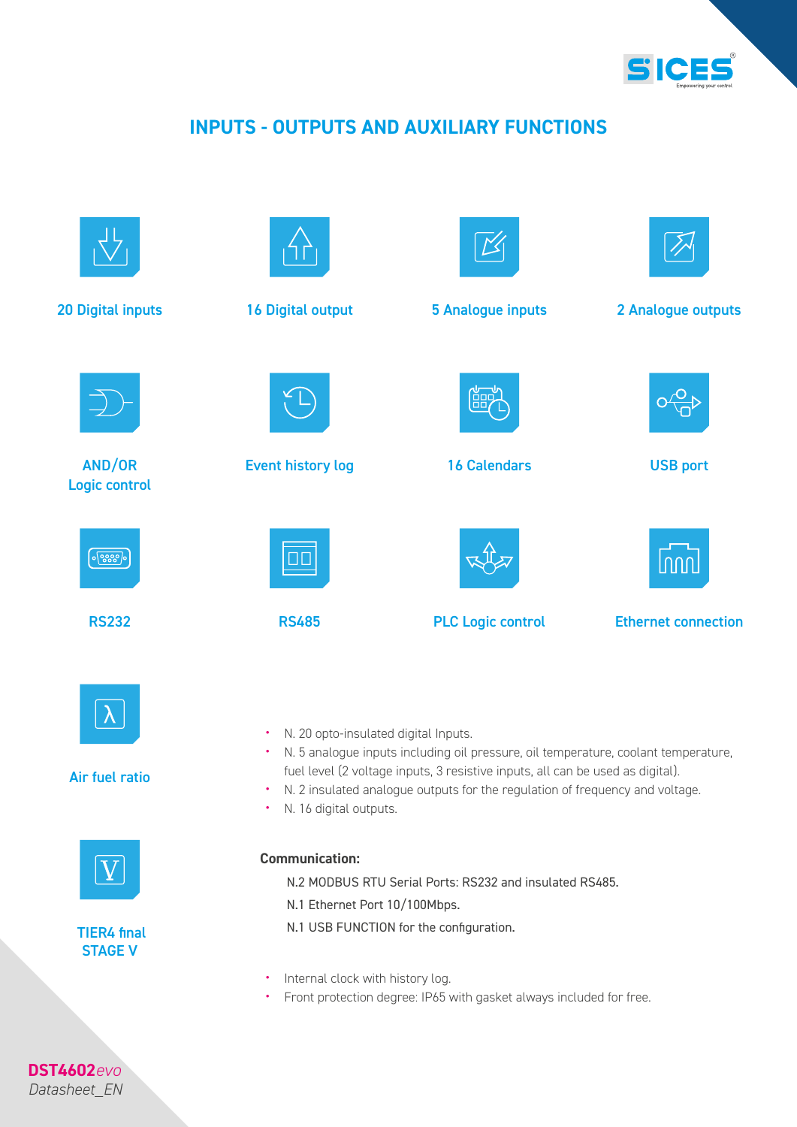

### *INPUTS - OUTPUTS AND AUXILIARY FUNCTIONS*



*Datasheet\_EN*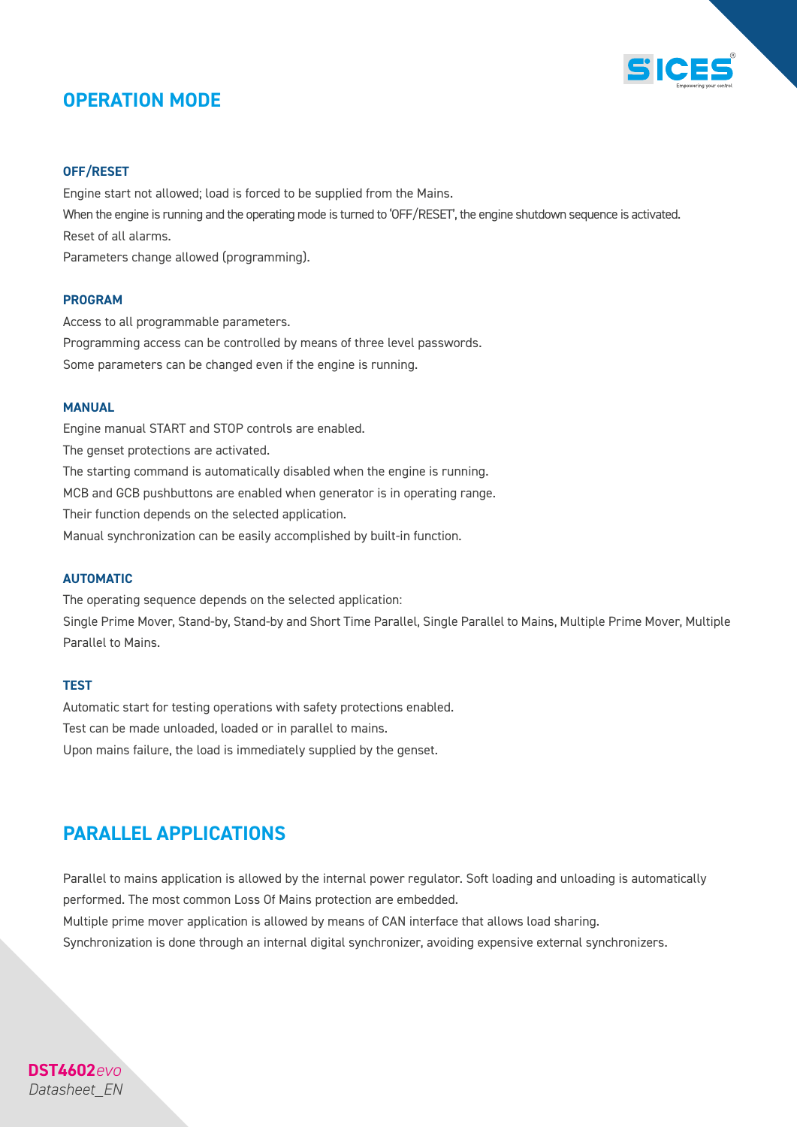

### *OPERATION MODE*

#### *OFF/RESET*

Engine start not allowed; load is forced to be supplied from the Mains. When the engine is running and the operating mode is turned to 'OFF/RESET', the engine shutdown sequence is activated. Reset of all alarms. Parameters change allowed (programming).

#### *PROGRAM*

Access to all programmable parameters. Programming access can be controlled by means of three level passwords. Some parameters can be changed even if the engine is running.

#### *MANUAL*

Engine manual START and STOP controls are enabled. The genset protections are activated. The starting command is automatically disabled when the engine is running. MCB and GCB pushbuttons are enabled when generator is in operating range. Their function depends on the selected application. Manual synchronization can be easily accomplished by built-in function.

#### *AUTOMATIC*

The operating sequence depends on the selected application: Single Prime Mover, Stand-by, Stand-by and Short Time Parallel, Single Parallel to Mains, Multiple Prime Mover, Multiple Parallel to Mains.

#### *TEST*

**DST4602***evo Datasheet\_EN*

Automatic start for testing operations with safety protections enabled. Test can be made unloaded, loaded or in parallel to mains. Upon mains failure, the load is immediately supplied by the genset.

### *PARALLEL APPLICATIONS*

Parallel to mains application is allowed by the internal power regulator. Soft loading and unloading is automatically performed. The most common Loss Of Mains protection are embedded. Multiple prime mover application is allowed by means of CAN interface that allows load sharing. Synchronization is done through an internal digital synchronizer, avoiding expensive external synchronizers.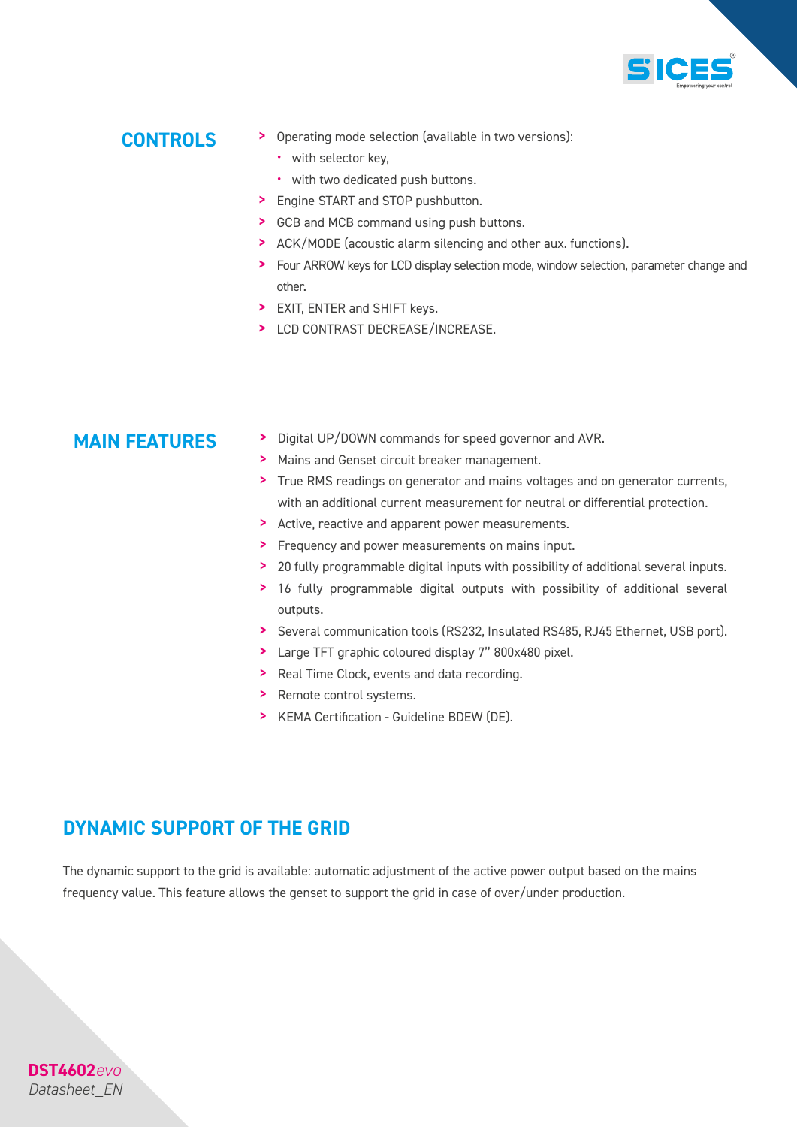

### *CONTROLS*

- > Operating mode selection (available in two versions):
	- with selector key,
	- with two dedicated push buttons.
- > Engine START and STOP pushbutton.
- > GCB and MCB command using push buttons.
- > ACK/MODE (acoustic alarm silencing and other aux. functions).
- > Four ARROW keys for LCD display selection mode, window selection, parameter change and other.
- > EXIT, ENTER and SHIFT keys.
- > LCD CONTRAST DECREASE/INCREASE.

- **MAIN FEATURES** > Digital UP/DOWN commands for speed governor and AVR.
	- > Mains and Genset circuit breaker management.
	- > True RMS readings on generator and mains voltages and on generator currents, with an additional current measurement for neutral or differential protection.
	- > Active, reactive and apparent power measurements.
	- > Frequency and power measurements on mains input.
	- > 20 fully programmable digital inputs with possibility of additional several inputs.
	- > 16 fully programmable digital outputs with possibility of additional several outputs.
	- > Several communication tools (RS232, Insulated RS485, RJ45 Ethernet, USB port).
	- > Large TFT graphic coloured display 7'' 800x480 pixel.
	- > Real Time Clock, events and data recording.
	- > Remote control systems.
	- > KEMA Certification Guideline BDEW (DE).

### *DYNAMIC SUPPORT OF THE GRID*

**DST4602***evo Datasheet\_EN*

The dynamic support to the grid is available: automatic adjustment of the active power output based on the mains frequency value. This feature allows the genset to support the grid in case of over/under production.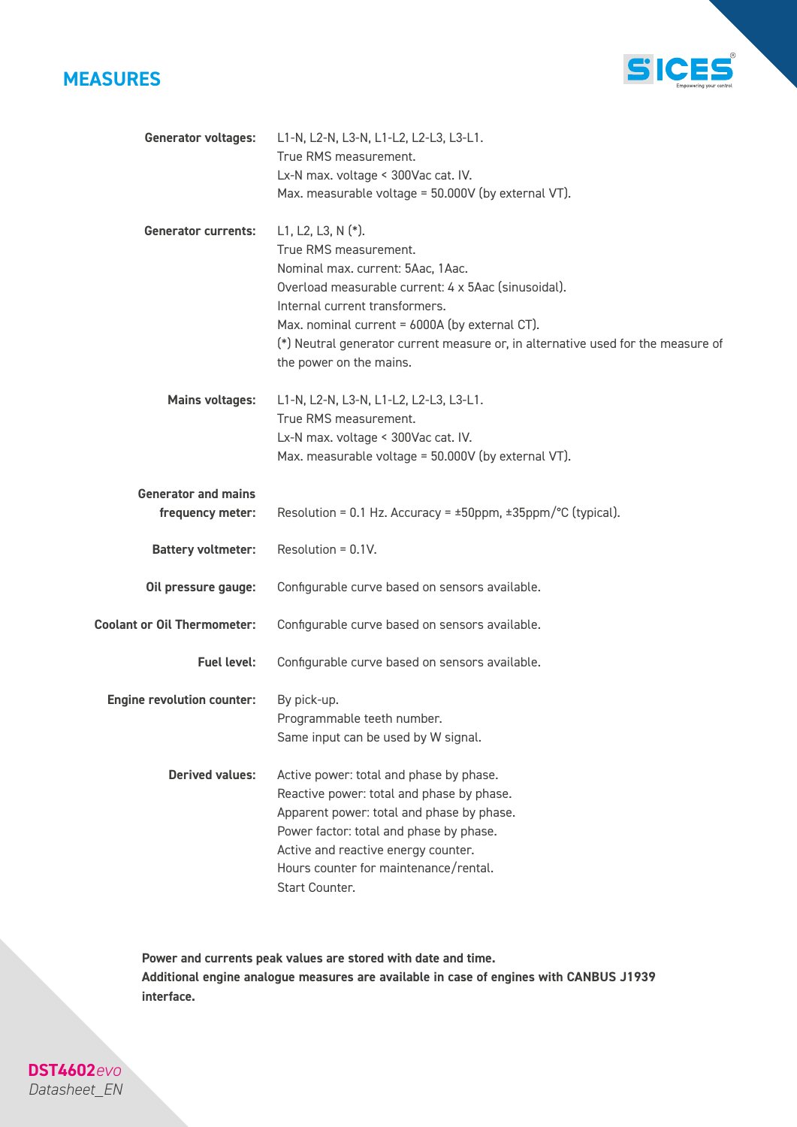

**DST4602***evo Datasheet\_EN*



| <b>Generator voltages:</b>         | L1-N, L2-N, L3-N, L1-L2, L2-L3, L3-L1.                                           |
|------------------------------------|----------------------------------------------------------------------------------|
|                                    | True RMS measurement.                                                            |
|                                    | Lx-N max. voltage < 300Vac cat. IV.                                              |
|                                    | Max. measurable voltage = 50.000V (by external VT).                              |
| <b>Generator currents:</b>         | L1, L2, L3, N $(*)$ .                                                            |
|                                    | True RMS measurement.                                                            |
|                                    | Nominal max. current: 5Aac, 1Aac.                                                |
|                                    | Overload measurable current: 4 x 5Aac (sinusoidal).                              |
|                                    | Internal current transformers.                                                   |
|                                    | Max. nominal current = 6000A (by external CT).                                   |
|                                    | (*) Neutral generator current measure or, in alternative used for the measure of |
|                                    | the power on the mains.                                                          |
| <b>Mains voltages:</b>             | L1-N, L2-N, L3-N, L1-L2, L2-L3, L3-L1.                                           |
|                                    | True RMS measurement.                                                            |
|                                    | Lx-N max. voltage < 300Vac cat. IV.                                              |
|                                    | Max. measurable voltage = 50.000V (by external VT).                              |
| <b>Generator and mains</b>         |                                                                                  |
| frequency meter:                   | Resolution = 0.1 Hz. Accuracy = $\pm$ 50ppm, $\pm$ 35ppm/°C (typical).           |
| <b>Battery voltmeter:</b>          | Resolution = $0.1V$ .                                                            |
| Oil pressure gauge:                | Configurable curve based on sensors available.                                   |
| <b>Coolant or Oil Thermometer:</b> | Configurable curve based on sensors available.                                   |
| <b>Fuel level:</b>                 | Configurable curve based on sensors available.                                   |
| <b>Engine revolution counter:</b>  | By pick-up.                                                                      |
|                                    | Programmable teeth number.                                                       |
|                                    | Same input can be used by W signal.                                              |
| <b>Derived values:</b>             | Active power: total and phase by phase.                                          |
|                                    | Reactive power: total and phase by phase.                                        |
|                                    | Apparent power: total and phase by phase.                                        |
|                                    | Power factor: total and phase by phase.                                          |
|                                    | Active and reactive energy counter.                                              |
|                                    | Hours counter for maintenance/rental.                                            |
|                                    | Start Counter.                                                                   |

*Power and currents peak values are stored with date and time. Additional engine analogue measures are available in case of engines with CANBUS J1939 interface.*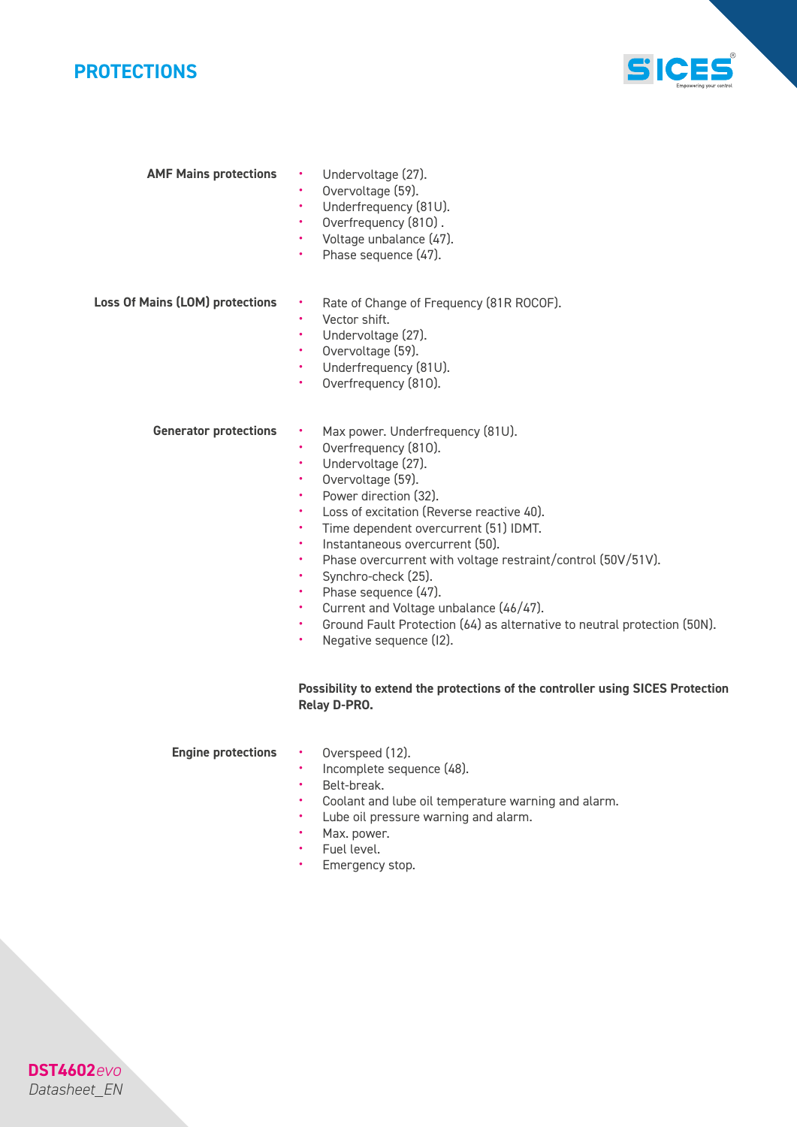

*AMF Mains protections*



|                                        | Overvoltage (59).<br>Underfrequency (81U).<br>Overfrequency (810).<br>٠<br>Voltage unbalance (47).<br>Phase sequence (47).                                                                                                                  |
|----------------------------------------|---------------------------------------------------------------------------------------------------------------------------------------------------------------------------------------------------------------------------------------------|
| <b>Loss Of Mains (LOM) protections</b> | Rate of Change of Frequency (81R ROCOF).<br>Vector shift.<br>٠<br>Undervoltage (27).<br>Overvoltage (59).<br>٠<br>Underfrequency (81U).<br>Overfrequency (810).<br>٠                                                                        |
| <b>Generator protections</b>           | Max power. Underfrequency (81U).<br>Overfrequency (810).<br>٠<br>Undervoltage (27).<br>٠<br>Overvoltage (59).<br>٠<br>Power direction (32).<br>٠<br>Loss of excitation (Reverse reactive 40).<br>٠<br>Time dependent overcurrent (51) IDMT. |

Undervoltage (27).

- Instantaneous overcurrent (50).
- Phase overcurrent with voltage restraint/control (50V/51V).
- Synchro-check  $(25)$ .<br>• Phase sequence  $(47)$
- Phase sequence (47).
- Current and Voltage unbalance (46/47).
- Ground Fault Protection (64) as alternative to neutral protection (50N).<br>• Negative sequence (12)
- Negative sequence (I2).

#### *Possibility to extend the protections of the controller using SICES Protection Relay D-PRO.*

#### *Engine protections*

- Overspeed (12).<br>• Incomplete sequ
- Incomplete sequence (48).
- Belt-break.<br>• Coolant and
- Coolant and lube oil temperature warning and alarm.<br>• Lube oil pressure warning and alarm
- Lube oil pressure warning and alarm.
- Max. power.
- Fuel level.
- Emergency stop.

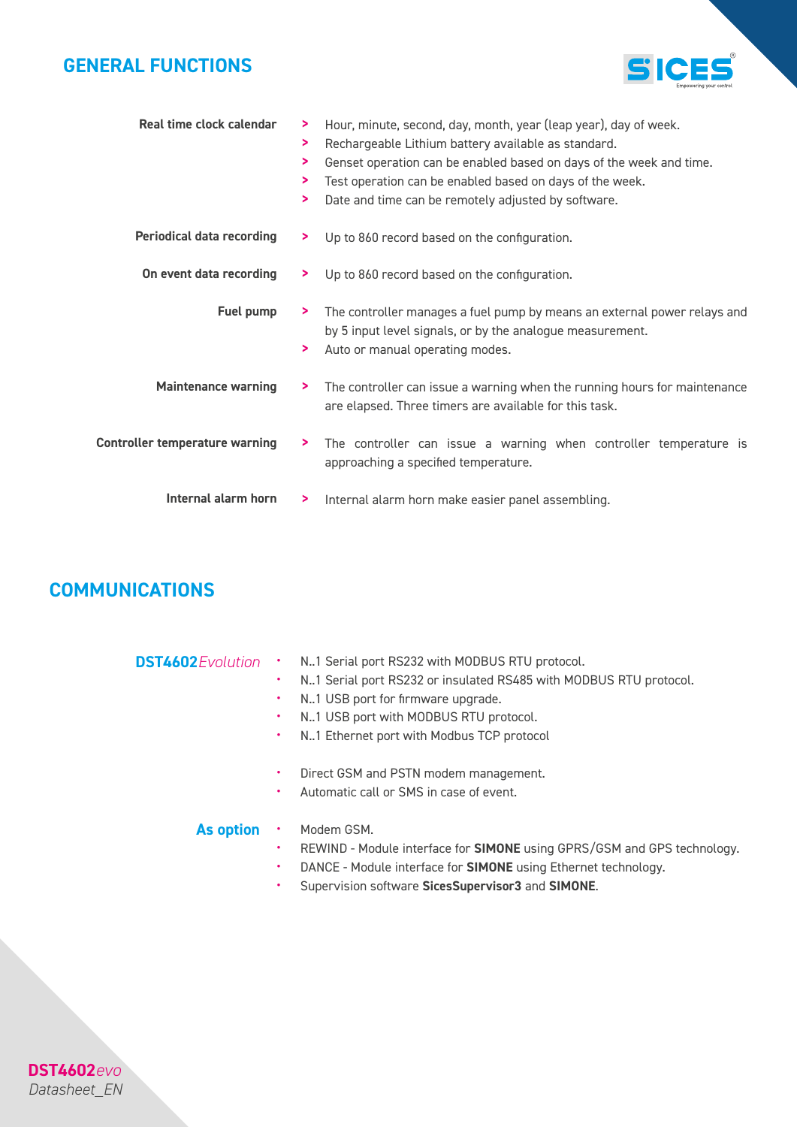### *GENERAL FUNCTIONS*



| Real time clock calendar              | ⋗<br>⋗<br>⋗<br>⋗<br>⋗ | Hour, minute, second, day, month, year (leap year), day of week.<br>Rechargeable Lithium battery available as standard.<br>Genset operation can be enabled based on days of the week and time.<br>Test operation can be enabled based on days of the week.<br>Date and time can be remotely adjusted by software. |
|---------------------------------------|-----------------------|-------------------------------------------------------------------------------------------------------------------------------------------------------------------------------------------------------------------------------------------------------------------------------------------------------------------|
| <b>Periodical data recording</b>      | ⋗.                    | Up to 860 record based on the configuration.                                                                                                                                                                                                                                                                      |
| On event data recording               | ⋗.                    | Up to 860 record based on the configuration.                                                                                                                                                                                                                                                                      |
| Fuel pump                             | ⋗.<br>⋗               | The controller manages a fuel pump by means an external power relays and<br>by 5 input level signals, or by the analogue measurement.<br>Auto or manual operating modes.                                                                                                                                          |
| <b>Maintenance warning</b>            | ⋗.                    | The controller can issue a warning when the running hours for maintenance<br>are elapsed. Three timers are available for this task.                                                                                                                                                                               |
| <b>Controller temperature warning</b> | ⋗                     | The controller can issue a warning when controller temperature is<br>approaching a specified temperature.                                                                                                                                                                                                         |
| Internal alarm horn                   | ⋗                     | Internal alarm horn make easier panel assembling.                                                                                                                                                                                                                                                                 |

### *COMMUNICATIONS*

**DST4602***evo Datasheet\_EN*

| <b>DST4602</b> Evolution . |  | N1 Serial port RS232 with MODBUS RTU protocol. |
|----------------------------|--|------------------------------------------------|
|----------------------------|--|------------------------------------------------|

- N..1 Serial port RS232 or insulated RS485 with MODBUS RTU protocol.
- N..1 USB port for firmware upgrade.
- N..1 USB port with MODBUS RTU protocol.
- N..1 Ethernet port with Modbus TCP protocol
- Direct GSM and PSTN modem management.
- Automatic call or SMS in case of event.

#### *As option*

- Modem GSM.
- REWIND Module interface for *SIMONE* using GPRS/GSM and GPS technology.
- DANCE Module interface for *SIMONE* using Ethernet technology.
- Supervision software *SicesSupervisor3* and *SIMONE*.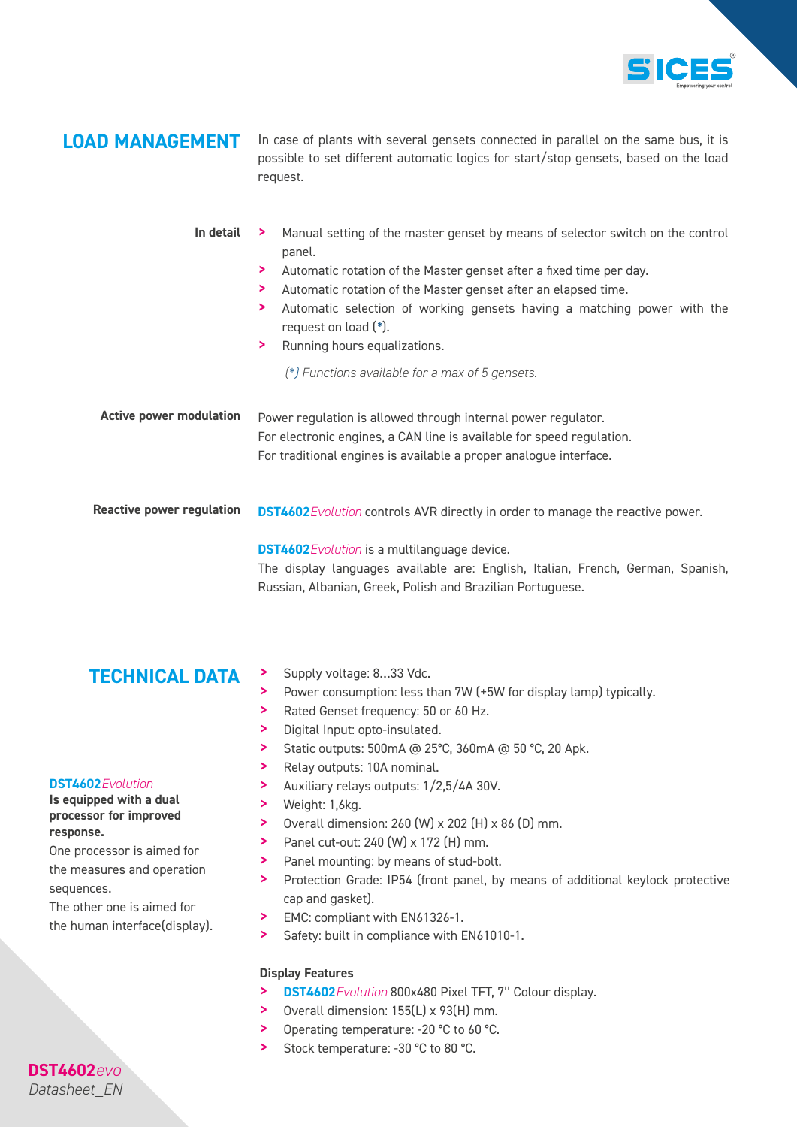

**LOAD MANAGEMENT** In case of plants with several gensets connected in parallel on the same bus, it is possible to set different automatic logics for start/stop gensets, based on the load request.

| In detail                        | Manual setting of the master genset by means of selector switch on the control<br>⋗.<br>panel.<br>Automatic rotation of the Master genset after a fixed time per day.<br>⋗<br>Automatic rotation of the Master genset after an elapsed time.<br>⋗<br>Automatic selection of working gensets having a matching power with the<br>⋗<br>request on load (*).<br>Running hours equalizations.<br>⋗<br>(*) Functions available for a max of 5 gensets. |
|----------------------------------|---------------------------------------------------------------------------------------------------------------------------------------------------------------------------------------------------------------------------------------------------------------------------------------------------------------------------------------------------------------------------------------------------------------------------------------------------|
| <b>Active power modulation</b>   | Power regulation is allowed through internal power regulator.<br>For electronic engines, a CAN line is available for speed regulation.<br>For traditional engines is available a proper analogue interface.                                                                                                                                                                                                                                       |
| <b>Reactive power regulation</b> | <b>DST4602</b> Evolution controls AVR directly in order to manage the reactive power.<br><b>DST4602</b> Evolution is a multilanguage device.                                                                                                                                                                                                                                                                                                      |

The display languages available are: English, Italian, French, German, Spanish, Russian, Albanian, Greek, Polish and Brazilian Portuguese.

# **TECHNICAL DATA** > Supply voltage: 8...33 Vdc.

- 
- Power consumption: less than 7W (+5W for display lamp) typically.
- > Rated Genset frequency: 50 or 60 Hz.
- > Digital Input: opto-insulated.
- > Static outputs: 500mA @ 25°C, 360mA @ 50 °C, 20 Apk.
- > Relay outputs: 10A nominal.
- > Auxiliary relays outputs: 1/2,5/4A 30V.
- > Weight: 1,6kg.
- > Overall dimension: 260 (W) x 202 (H) x 86 (D) mm.
- > Panel cut-out: 240 (W) x 172 (H) mm.
- > Panel mounting: by means of stud-bolt.
- > Protection Grade: IP54 (front panel, by means of additional keylock protective cap and gasket).
- > EMC: compliant with EN61326-1.
- > Safety: built in compliance with EN61010-1.

#### *Display Features*

- > *DST4602Evolution* 800x480 Pixel TFT, 7'' Colour display.
- > Overall dimension: 155(L) x 93(H) mm.
- > Operating temperature: -20 °C to 60 °C.
- > Stock temperature: -30 °C to 80 °C.

### *DST4602Evolution*

#### *Is equipped with a dual processor for improved response.*

One processor is aimed for the measures and operation sequences.

The other one is aimed for the human interface(display).

### **DST4602***evo Datasheet\_EN*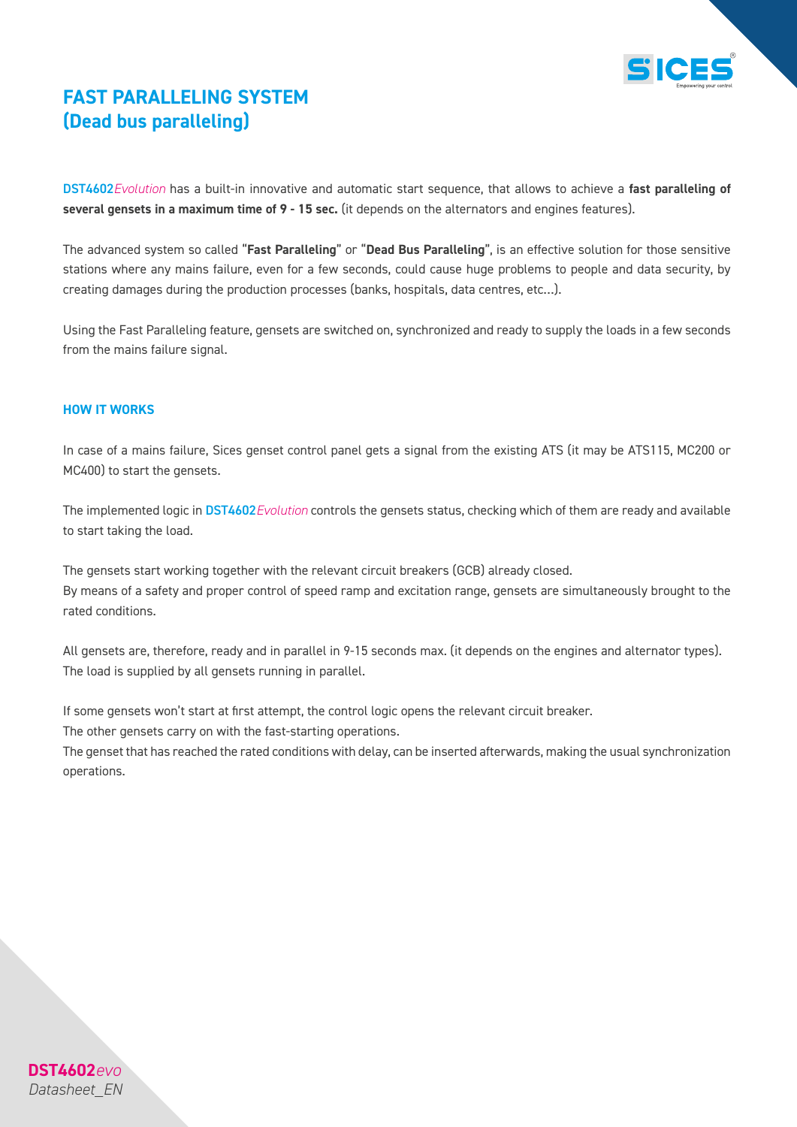

### *FAST PARALLELING SYSTEM (Dead bus paralleling)*

DST4602*Evolution* has a built-in innovative and automatic start sequence, that allows to achieve a *fast paralleling of several gensets in a maximum time of 9 - 15 sec.* (it depends on the alternators and engines features).

The advanced system so called "*Fast Paralleling*" or "*Dead Bus Paralleling*", is an effective solution for those sensitive stations where any mains failure, even for a few seconds, could cause huge problems to people and data security, by creating damages during the production processes (banks, hospitals, data centres, etc…).

Using the Fast Paralleling feature, gensets are switched on, synchronized and ready to supply the loads in a few seconds from the mains failure signal.

#### *HOW IT WORKS*

In case of a mains failure, Sices genset control panel gets a signal from the existing ATS (it may be ATS115, MC200 or MC400) to start the gensets.

The implemented logic in DST4602*Evolution* controls the gensets status, checking which of them are ready and available to start taking the load.

The gensets start working together with the relevant circuit breakers (GCB) already closed. By means of a safety and proper control of speed ramp and excitation range, gensets are simultaneously brought to the rated conditions.

All gensets are, therefore, ready and in parallel in 9-15 seconds max. (it depends on the engines and alternator types). The load is supplied by all gensets running in parallel.

If some gensets won't start at first attempt, the control logic opens the relevant circuit breaker.

The other gensets carry on with the fast-starting operations.

The genset that has reached the rated conditions with delay, can be inserted afterwards, making the usual synchronization operations.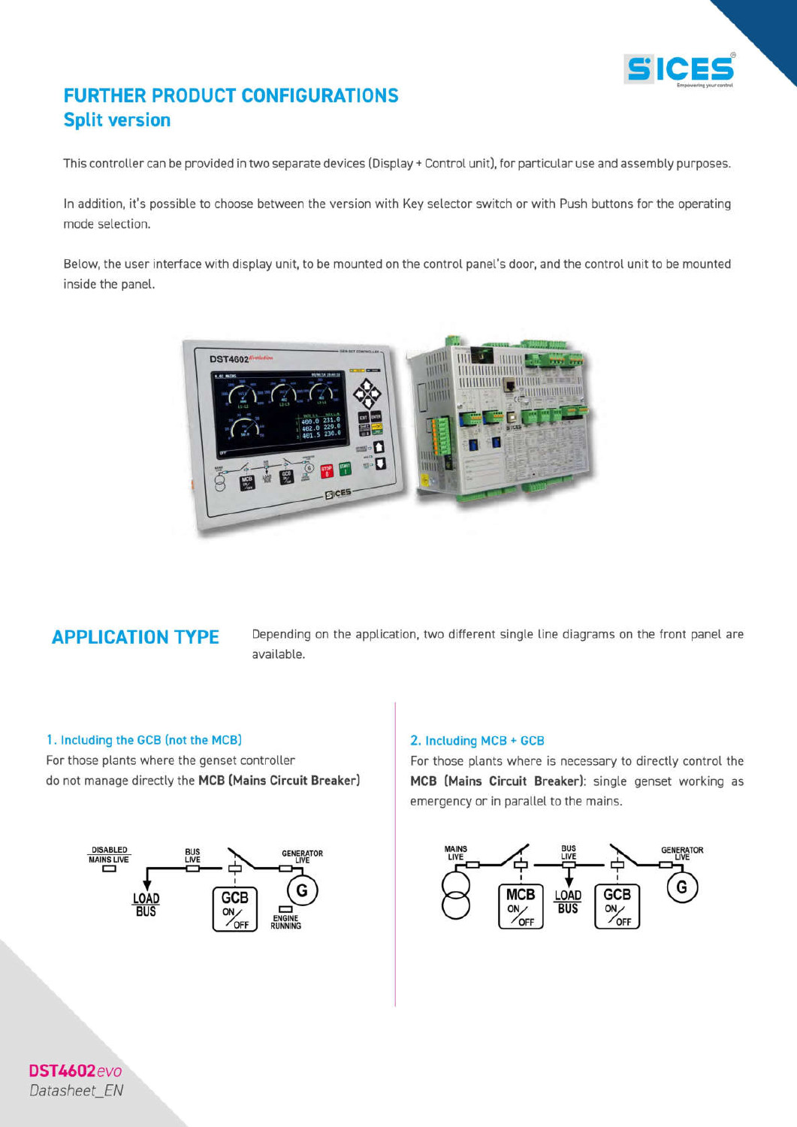

### **FURTHER PRODUCT CONFIGURATIONS Split version**

This controller can be provided in two separate devices (Display + Control unit), for particular use and assembly purposes.

In addition, it's possible to choose between the version with Key selector switch or with Push buttons for the operating mode selection.

Below, the user interface with display unit, to be mounted on the control panel's door, and the control unit to be mounted inside the panel.



### **APPLICATION TYPE**

Depending on the application, two different single line diagrams on the front panel are available.

#### 1. Including the GCB (not the MCB)

For those plants where the genset controller do not manage directly the MCB (Mains Circuit Breaker)



#### 2. Including MCB + GCB

For those plants where is necessary to directly control the MCB (Mains Circuit Breaker): single genset working as emergency or in parallel to the mains.



**DST4602**evo Datasheet\_EN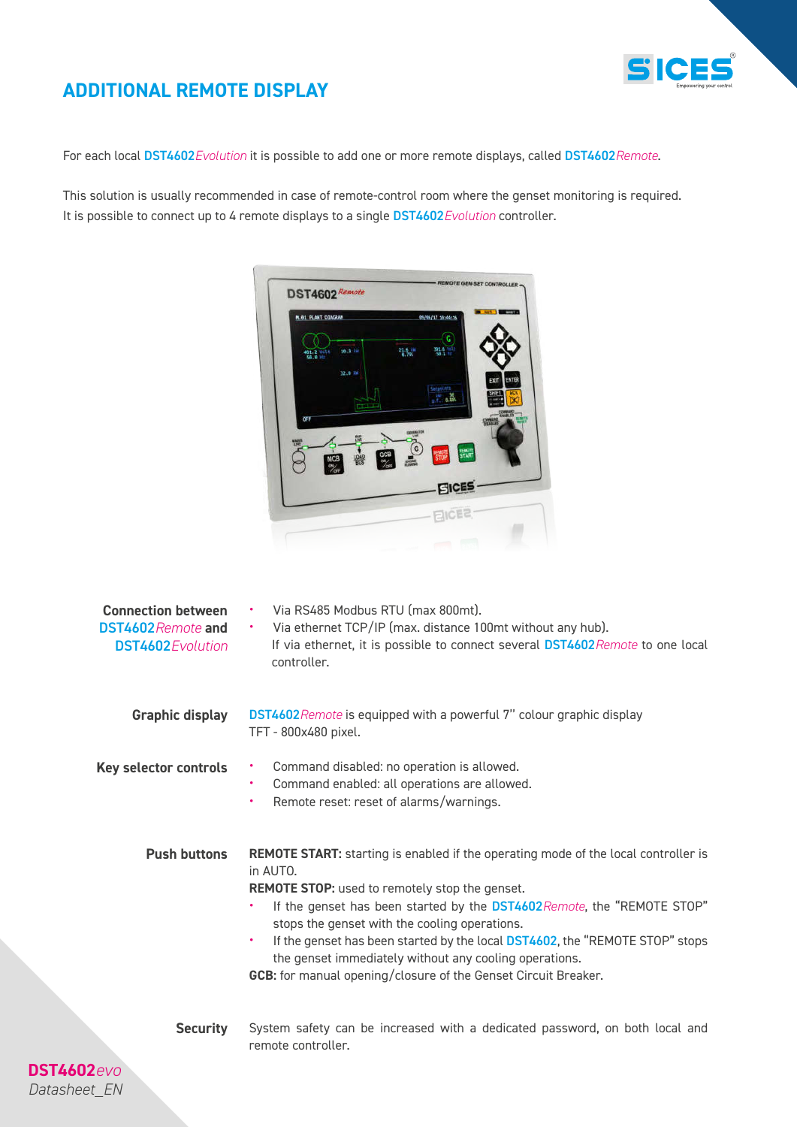

### *ADDITIONAL REMOTE DISPLAY*

For each local DST4602*Evolution* it is possible to add one or more remote displays, called DST4602*Remote*.

This solution is usually recommended in case of remote-control room where the genset monitoring is required. It is possible to connect up to 4 remote displays to a single DST4602*Evolution* controller.



| <b>Connection between</b><br><b>DST4602</b> Remote and<br><b>DST4602</b> Evolution | Via RS485 Modbus RTU (max 800mt).<br>Via ethernet TCP/IP (max. distance 100mt without any hub).<br>If via ethernet, it is possible to connect several DST4602Remote to one local<br>controller.                                                                                                                                                                                                                                                                                                               |
|------------------------------------------------------------------------------------|---------------------------------------------------------------------------------------------------------------------------------------------------------------------------------------------------------------------------------------------------------------------------------------------------------------------------------------------------------------------------------------------------------------------------------------------------------------------------------------------------------------|
| <b>Graphic display</b>                                                             | <b>DST4602</b> Remote is equipped with a powerful 7" colour graphic display<br>TFT - 800x480 pixel.                                                                                                                                                                                                                                                                                                                                                                                                           |
| Key selector controls                                                              | Command disabled: no operation is allowed.<br>٠<br>Command enabled: all operations are allowed.<br>٠<br>Remote reset: reset of alarms/warnings.<br>٠                                                                                                                                                                                                                                                                                                                                                          |
| <b>Push buttons</b>                                                                | <b>REMOTE START:</b> starting is enabled if the operating mode of the local controller is<br>in AUTO.<br><b>REMOTE STOP:</b> used to remotely stop the genset.<br>If the genset has been started by the DST4602 Remote, the "REMOTE STOP"<br>stops the genset with the cooling operations.<br>If the genset has been started by the local DST4602, the "REMOTE STOP" stops<br>the genset immediately without any cooling operations.<br><b>GCB:</b> for manual opening/closure of the Genset Circuit Breaker. |
| <b>Security</b><br><b>DST4602</b> evo<br>Datasheet EN                              | System safety can be increased with a dedicated password, on both local and<br>remote controller.                                                                                                                                                                                                                                                                                                                                                                                                             |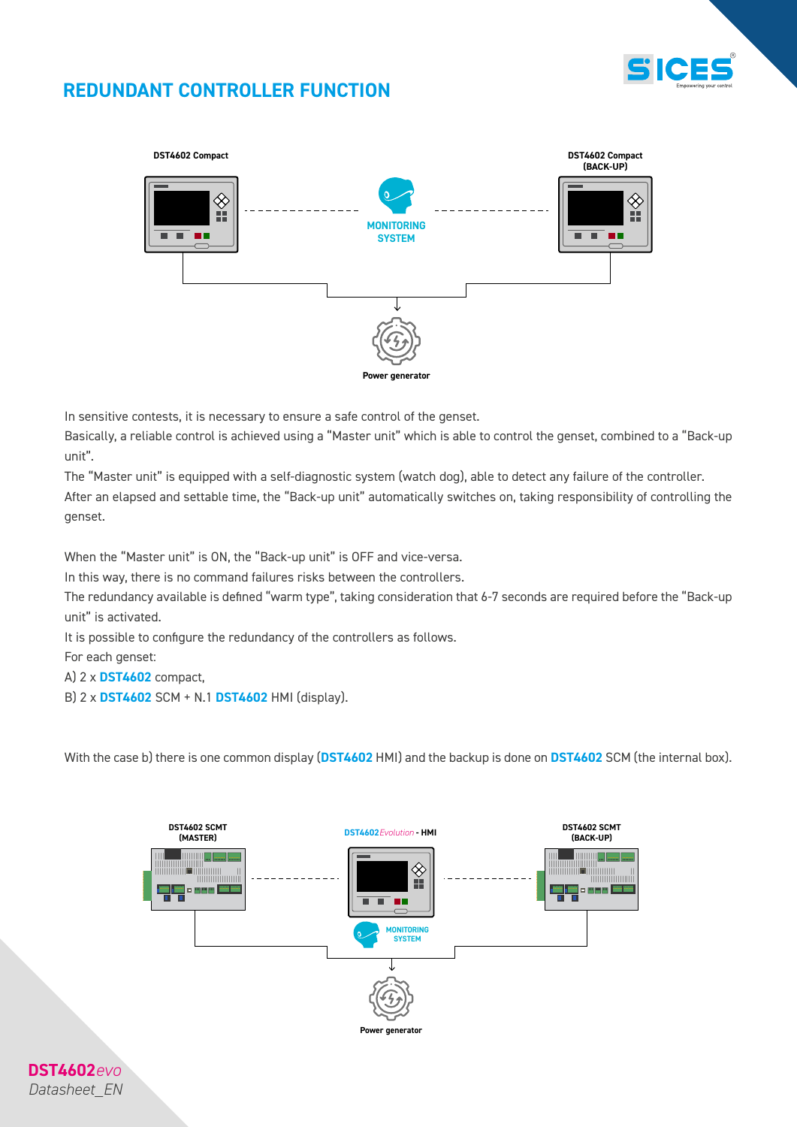

### *REDUNDANT CONTROLLER FUNCTION*



In sensitive contests, it is necessary to ensure a safe control of the genset.

Basically, a reliable control is achieved using a "Master unit" which is able to control the genset, combined to a "Back-up unit".

The "Master unit" is equipped with a self-diagnostic system (watch dog), able to detect any failure of the controller. After an elapsed and settable time, the "Back-up unit" automatically switches on, taking responsibility of controlling the genset.

When the "Master unit" is ON, the "Back-up unit" is OFF and vice-versa.

In this way, there is no command failures risks between the controllers.

The redundancy available is defined "warm type", taking consideration that 6-7 seconds are required before the "Back-up unit" is activated.

It is possible to configure the redundancy of the controllers as follows.

For each genset:

- A) 2 x *DST4602* compact,
- B) 2 x *DST4602* SCM + N.1 *DST4602* HMI (display).

With the case b) there is one common display (*DST4602* HMI) and the backup is done on *DST4602* SCM (the internal box).